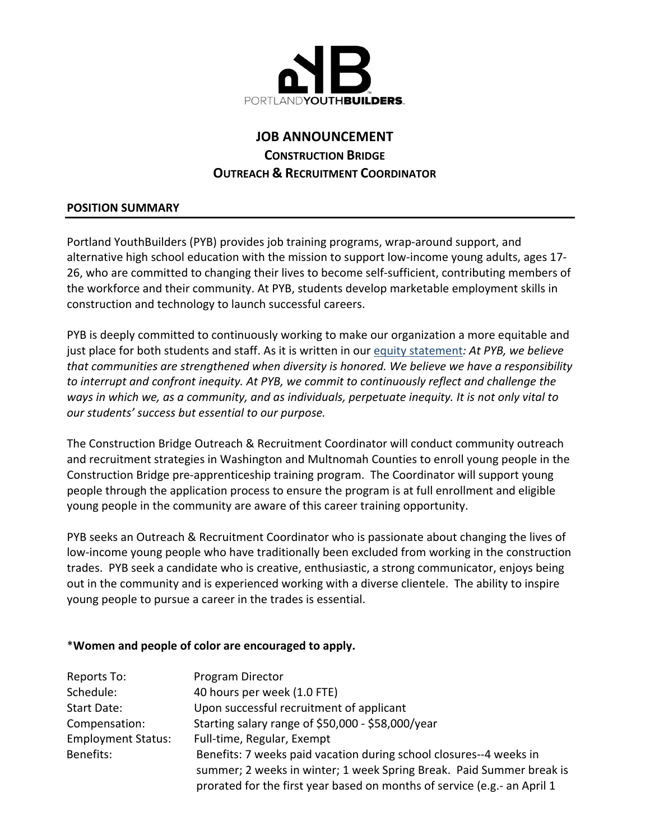

# **JOB ANNOUNCEMENT CONSTRUCTION BRIDGE OUTREACH & RECRUITMENT COORDINATOR**

#### **POSITION SUMMARY**

Portland YouthBuilders (PYB) provides job training programs, wrap-around support, and alternative high school education with the mission to support low‐income young adults, ages 17‐ 26, who are committed to changing their lives to become self‐sufficient, contributing members of the workforce and their community. At PYB, students develop marketable employment skills in construction and technology to launch successful careers.

PYB is deeply committed to continuously working to make our organization a more equitable and just place for both students and staff. As it is written in our equity statement*: At PYB, we believe that communities are strengthened when diversity is honored. We believe we have a responsibility to interrupt and confront inequity. At PYB, we commit to continuously reflect and challenge the ways in which we, as a community, and as individuals, perpetuate inequity. It is not only vital to our students' success but essential to our purpose.*

The Construction Bridge Outreach & Recruitment Coordinator will conduct community outreach and recruitment strategies in Washington and Multnomah Counties to enroll young people in the Construction Bridge pre‐apprenticeship training program. The Coordinator will support young people through the application process to ensure the program is at full enrollment and eligible young people in the community are aware of this career training opportunity.

PYB seeks an Outreach & Recruitment Coordinator who is passionate about changing the lives of low‐income young people who have traditionally been excluded from working in the construction trades. PYB seek a candidate who is creative, enthusiastic, a strong communicator, enjoys being out in the community and is experienced working with a diverse clientele. The ability to inspire young people to pursue a career in the trades is essential.

## \***Women and people of color are encouraged to apply.**

| Reports To:               | Program Director                                                         |
|---------------------------|--------------------------------------------------------------------------|
| Schedule:                 | 40 hours per week (1.0 FTE)                                              |
| Start Date:               | Upon successful recruitment of applicant                                 |
| Compensation:             | Starting salary range of \$50,000 - \$58,000/year                        |
| <b>Employment Status:</b> | Full-time, Regular, Exempt                                               |
| Benefits:                 | Benefits: 7 weeks paid vacation during school closures--4 weeks in       |
|                           | summer; 2 weeks in winter; 1 week Spring Break. Paid Summer break is     |
|                           | prorated for the first year based on months of service (e.g.- an April 1 |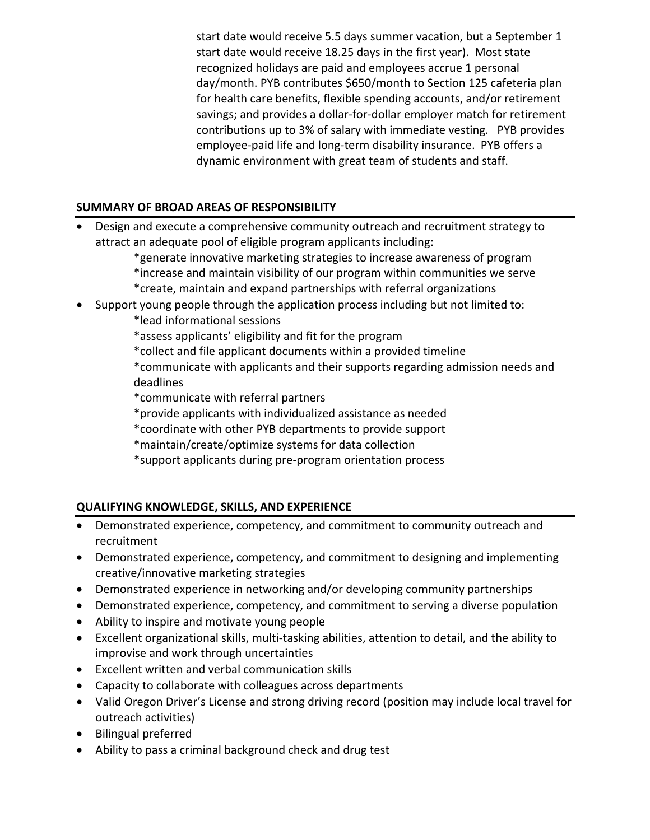start date would receive 5.5 days summer vacation, but a September 1 start date would receive 18.25 days in the first year). Most state recognized holidays are paid and employees accrue 1 personal day/month. PYB contributes \$650/month to Section 125 cafeteria plan for health care benefits, flexible spending accounts, and/or retirement savings; and provides a dollar‐for‐dollar employer match for retirement contributions up to 3% of salary with immediate vesting. PYB provides employee-paid life and long-term disability insurance. PYB offers a dynamic environment with great team of students and staff.

## **SUMMARY OF BROAD AREAS OF RESPONSIBILITY**

- Design and execute a comprehensive community outreach and recruitment strategy to attract an adequate pool of eligible program applicants including:
	- \*generate innovative marketing strategies to increase awareness of program \*increase and maintain visibility of our program within communities we serve \*create, maintain and expand partnerships with referral organizations
- Support young people through the application process including but not limited to:

\*lead informational sessions

\*assess applicants' eligibility and fit for the program

\*collect and file applicant documents within a provided timeline

\*communicate with applicants and their supports regarding admission needs and deadlines

\*communicate with referral partners

- \*provide applicants with individualized assistance as needed
- \*coordinate with other PYB departments to provide support
- \*maintain/create/optimize systems for data collection

\*support applicants during pre‐program orientation process

## **QUALIFYING KNOWLEDGE, SKILLS, AND EXPERIENCE**

- Demonstrated experience, competency, and commitment to community outreach and recruitment
- Demonstrated experience, competency, and commitment to designing and implementing creative/innovative marketing strategies
- Demonstrated experience in networking and/or developing community partnerships
- Demonstrated experience, competency, and commitment to serving a diverse population
- Ability to inspire and motivate young people
- Excellent organizational skills, multi-tasking abilities, attention to detail, and the ability to improvise and work through uncertainties
- Excellent written and verbal communication skills
- Capacity to collaborate with colleagues across departments
- Valid Oregon Driver's License and strong driving record (position may include local travel for outreach activities)
- Bilingual preferred
- Ability to pass a criminal background check and drug test